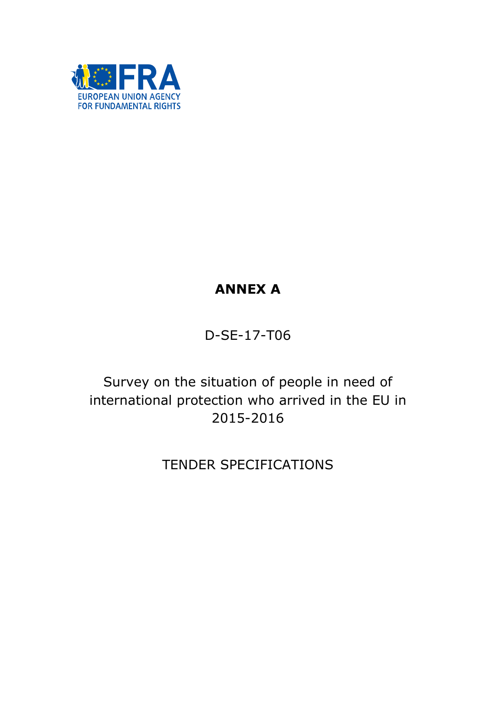

# ANNEX A

D-SE-17-T06

Survey on the situation of people in need of international protection who arrived in the EU in 2015-2016

TENDER SPECIFICATIONS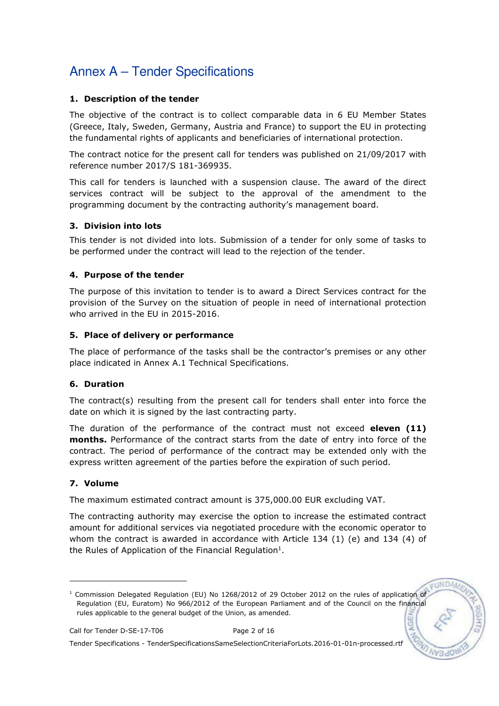### 1. Description of the tender

The objective of the contract is to collect comparable data in 6 EU Member States (Greece, Italy, Sweden, Germany, Austria and France) to support the EU in protecting the fundamental rights of applicants and beneficiaries of international protection.

The contract notice for the present call for tenders was published on 21/09/2017 with reference number 2017/S 181-369935.

This call for tenders is launched with a suspension clause. The award of the direct services contract will be subject to the approval of the amendment to the programming document by the contracting authority's management board.

### 3. Division into lots

This tender is not divided into lots. Submission of a tender for only some of tasks to be performed under the contract will lead to the rejection of the tender.

### 4. Purpose of the tender

The purpose of this invitation to tender is to award a Direct Services contract for the provision of the Survey on the situation of people in need of international protection who arrived in the EU in 2015-2016.

### 5. Place of delivery or performance

The place of performance of the tasks shall be the contractor's premises or any other place indicated in Annex A.1 Technical Specifications.

## 6. Duration

The contract(s) resulting from the present call for tenders shall enter into force the date on which it is signed by the last contracting party.

The duration of the performance of the contract must not exceed **eleven (11)** months. Performance of the contract starts from the date of entry into force of the contract. The period of performance of the contract may be extended only with the express written agreement of the parties before the expiration of such period.

## 7. Volume

-

The maximum estimated contract amount is 375,000.00 EUR excluding VAT.

The contracting authority may exercise the option to increase the estimated contract amount for additional services via negotiated procedure with the economic operator to whom the contract is awarded in accordance with Article 134 (1) (e) and 134 (4) of the Rules of Application of the Financial Regulation<sup>1</sup>.

FUNDA

<sup>&</sup>lt;sup>1</sup> Commission Delegated Regulation (EU) No 1268/2012 of 29 October 2012 on the rules of application of Regulation (EU, Euratom) No 966/2012 of the European Parliament and of the Council on the financial rules applicable to the general budget of the Union, as amended.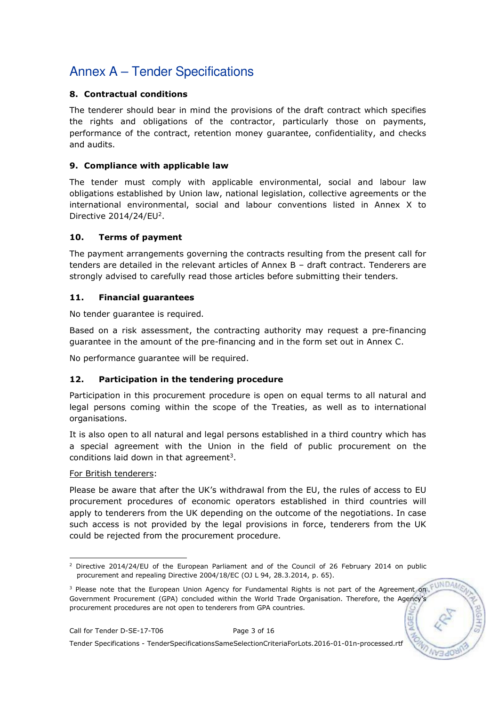### 8. Contractual conditions

The tenderer should bear in mind the provisions of the draft contract which specifies the rights and obligations of the contractor, particularly those on payments, performance of the contract, retention money guarantee, confidentiality, and checks and audits.

### 9. Compliance with applicable law

The tender must comply with applicable environmental, social and labour law obligations established by Union law, national legislation, collective agreements or the international environmental, social and labour conventions listed in Annex X to Directive  $2014/24$ /EU<sup>2</sup>.

### 10. Terms of payment

The payment arrangements governing the contracts resulting from the present call for tenders are detailed in the relevant articles of Annex B – draft contract. Tenderers are strongly advised to carefully read those articles before submitting their tenders.

### 11. Financial guarantees

No tender guarantee is required.

Based on a risk assessment, the contracting authority may request a pre-financing guarantee in the amount of the pre-financing and in the form set out in Annex C.

No performance guarantee will be required.

## 12. Participation in the tendering procedure

Participation in this procurement procedure is open on equal terms to all natural and legal persons coming within the scope of the Treaties, as well as to international organisations.

It is also open to all natural and legal persons established in a third country which has a special agreement with the Union in the field of public procurement on the conditions laid down in that agreement<sup>3</sup>.

### For British tenderers:

Please be aware that after the UK's withdrawal from the EU, the rules of access to EU procurement procedures of economic operators established in third countries will apply to tenderers from the UK depending on the outcome of the negotiations. In case such access is not provided by the legal provisions in force, tenderers from the UK could be rejected from the procurement procedure.

<sup>-</sup><sup>2</sup> Directive 2014/24/EU of the European Parliament and of the Council of 26 February 2014 on public procurement and repealing Directive 2004/18/EC (OJ L 94, 28.3.2014, p. 65).

<sup>&</sup>lt;sup>3</sup> Please note that the European Union Agency for Fundamental Rights is not part of the Agreement on Government Procurement (GPA) concluded within the World Trade Organisation. Therefore, the Agency's procurement procedures are not open to tenderers from GPA countries.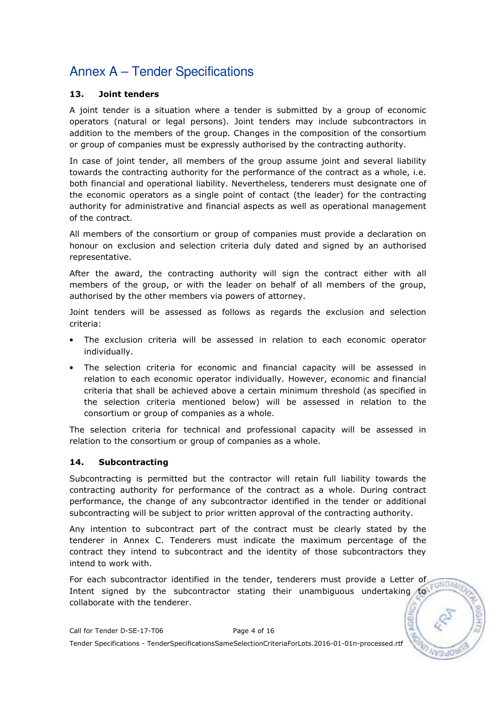### 13. Joint tenders

A joint tender is a situation where a tender is submitted by a group of economic operators (natural or legal persons). Joint tenders may include subcontractors in addition to the members of the group. Changes in the composition of the consortium or group of companies must be expressly authorised by the contracting authority.

In case of joint tender, all members of the group assume joint and several liability towards the contracting authority for the performance of the contract as a whole, i.e. both financial and operational liability. Nevertheless, tenderers must designate one of the economic operators as a single point of contact (the leader) for the contracting authority for administrative and financial aspects as well as operational management of the contract.

All members of the consortium or group of companies must provide a declaration on honour on exclusion and selection criteria duly dated and signed by an authorised representative.

After the award, the contracting authority will sign the contract either with all members of the group, or with the leader on behalf of all members of the group, authorised by the other members via powers of attorney.

Joint tenders will be assessed as follows as regards the exclusion and selection criteria:

- The exclusion criteria will be assessed in relation to each economic operator individually.
- The selection criteria for economic and financial capacity will be assessed in relation to each economic operator individually. However, economic and financial criteria that shall be achieved above a certain minimum threshold (as specified in the selection criteria mentioned below) will be assessed in relation to the consortium or group of companies as a whole.

The selection criteria for technical and professional capacity will be assessed in relation to the consortium or group of companies as a whole.

### 14. Subcontracting

Subcontracting is permitted but the contractor will retain full liability towards the contracting authority for performance of the contract as a whole. During contract performance, the change of any subcontractor identified in the tender or additional subcontracting will be subject to prior written approval of the contracting authority.

Any intention to subcontract part of the contract must be clearly stated by the tenderer in Annex C. Tenderers must indicate the maximum percentage of the contract they intend to subcontract and the identity of those subcontractors they intend to work with.

For each subcontractor identified in the tender, tenderers must provide a Letter of  $E$ **INDA** Intent signed by the subcontractor stating their unambiguous undertaking to collaborate with the tenderer.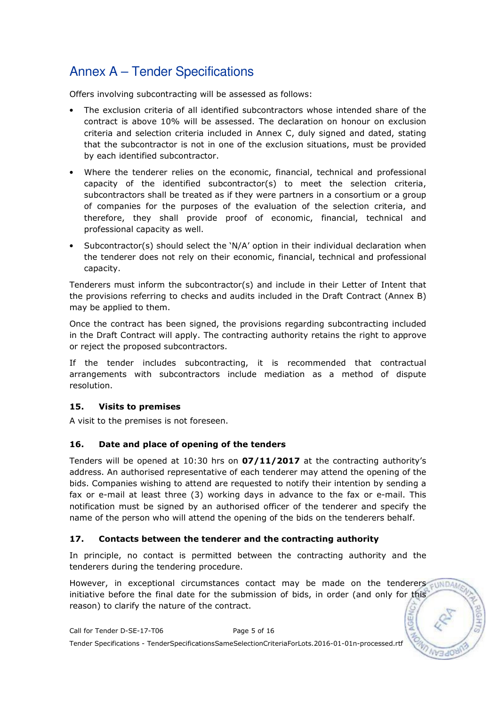Offers involving subcontracting will be assessed as follows:

- The exclusion criteria of all identified subcontractors whose intended share of the contract is above 10% will be assessed. The declaration on honour on exclusion criteria and selection criteria included in Annex C, duly signed and dated, stating that the subcontractor is not in one of the exclusion situations, must be provided by each identified subcontractor.
- Where the tenderer relies on the economic, financial, technical and professional capacity of the identified subcontractor(s) to meet the selection criteria, subcontractors shall be treated as if they were partners in a consortium or a group of companies for the purposes of the evaluation of the selection criteria, and therefore, they shall provide proof of economic, financial, technical and professional capacity as well.
- Subcontractor(s) should select the 'N/A' option in their individual declaration when the tenderer does not rely on their economic, financial, technical and professional capacity.

Tenderers must inform the subcontractor(s) and include in their Letter of Intent that the provisions referring to checks and audits included in the Draft Contract (Annex B) may be applied to them.

Once the contract has been signed, the provisions regarding subcontracting included in the Draft Contract will apply. The contracting authority retains the right to approve or reject the proposed subcontractors.

If the tender includes subcontracting, it is recommended that contractual arrangements with subcontractors include mediation as a method of dispute resolution.

### 15. Visits to premises

A visit to the premises is not foreseen.

### 16. Date and place of opening of the tenders

Tenders will be opened at 10:30 hrs on 07/11/2017 at the contracting authority's address. An authorised representative of each tenderer may attend the opening of the bids. Companies wishing to attend are requested to notify their intention by sending a fax or e-mail at least three (3) working days in advance to the fax or e-mail. This notification must be signed by an authorised officer of the tenderer and specify the name of the person who will attend the opening of the bids on the tenderers behalf.

### 17. Contacts between the tenderer and the contracting authority

In principle, no contact is permitted between the contracting authority and the tenderers during the tendering procedure.

However, in exceptional circumstances contact may be made on the tenderers initiative before the final date for the submission of bids, in order (and only for this reason) to clarify the nature of the contract.

Call for Tender D-SE-17-T06 Page 5 of 16 Tender Specifications - TenderSpecificationsSameSelectionCriteriaForLots.2016-01-01n-processed.rtf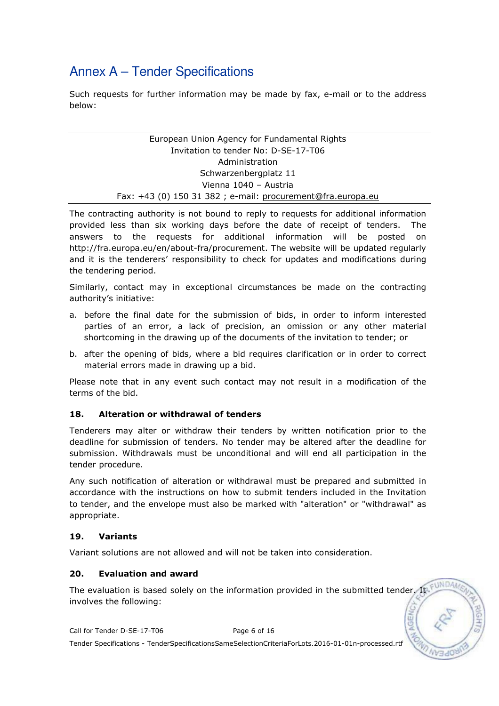Such requests for further information may be made by fax, e-mail or to the address below:

> European Union Agency for Fundamental Rights Invitation to tender No: D-SE-17-T06 Administration Schwarzenbergplatz 11 Vienna 1040 – Austria Fax: +43 (0) 150 31 382 ; e-mail: procurement@fra.europa.eu

The contracting authority is not bound to reply to requests for additional information provided less than six working days before the date of receipt of tenders. The answers to the requests for additional information will be posted on http://fra.europa.eu/en/about-fra/procurement. The website will be updated regularly and it is the tenderers' responsibility to check for updates and modifications during the tendering period.

Similarly, contact may in exceptional circumstances be made on the contracting authority's initiative:

- a. before the final date for the submission of bids, in order to inform interested parties of an error, a lack of precision, an omission or any other material shortcoming in the drawing up of the documents of the invitation to tender; or
- b. after the opening of bids, where a bid requires clarification or in order to correct material errors made in drawing up a bid.

Please note that in any event such contact may not result in a modification of the terms of the bid.

### 18. Alteration or withdrawal of tenders

Tenderers may alter or withdraw their tenders by written notification prior to the deadline for submission of tenders. No tender may be altered after the deadline for submission. Withdrawals must be unconditional and will end all participation in the tender procedure.

Any such notification of alteration or withdrawal must be prepared and submitted in accordance with the instructions on how to submit tenders included in the Invitation to tender, and the envelope must also be marked with "alteration" or "withdrawal" as appropriate.

#### 19. Variants

Variant solutions are not allowed and will not be taken into consideration.

### 20. Evaluation and award

The evaluation is based solely on the information provided in the submitted tender. It FUND involves the following:

Call for Tender D-SE-17-T06 Page 6 of 16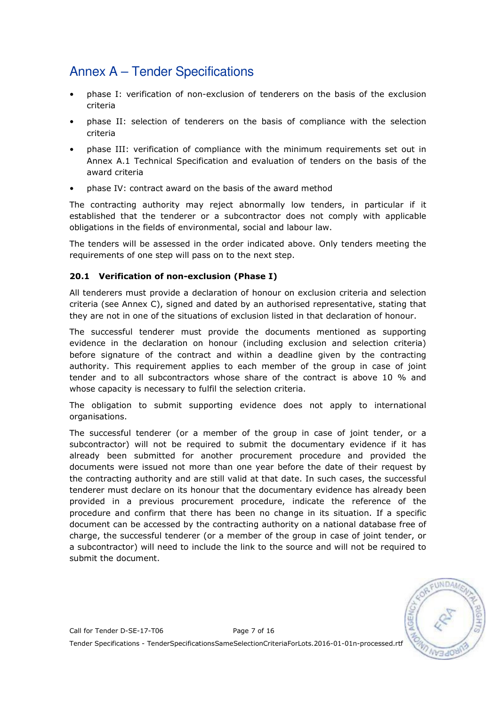- phase I: verification of non-exclusion of tenderers on the basis of the exclusion criteria
- phase II: selection of tenderers on the basis of compliance with the selection criteria
- phase III: verification of compliance with the minimum requirements set out in Annex A.1 Technical Specification and evaluation of tenders on the basis of the award criteria
- phase IV: contract award on the basis of the award method

The contracting authority may reject abnormally low tenders, in particular if it established that the tenderer or a subcontractor does not comply with applicable obligations in the fields of environmental, social and labour law.

The tenders will be assessed in the order indicated above. Only tenders meeting the requirements of one step will pass on to the next step.

### 20.1 Verification of non-exclusion (Phase I)

All tenderers must provide a declaration of honour on exclusion criteria and selection criteria (see Annex C), signed and dated by an authorised representative, stating that they are not in one of the situations of exclusion listed in that declaration of honour.

The successful tenderer must provide the documents mentioned as supporting evidence in the declaration on honour (including exclusion and selection criteria) before signature of the contract and within a deadline given by the contracting authority. This requirement applies to each member of the group in case of joint tender and to all subcontractors whose share of the contract is above 10 % and whose capacity is necessary to fulfil the selection criteria.

The obligation to submit supporting evidence does not apply to international organisations.

The successful tenderer (or a member of the group in case of joint tender, or a subcontractor) will not be required to submit the documentary evidence if it has already been submitted for another procurement procedure and provided the documents were issued not more than one year before the date of their request by the contracting authority and are still valid at that date. In such cases, the successful tenderer must declare on its honour that the documentary evidence has already been provided in a previous procurement procedure, indicate the reference of the procedure and confirm that there has been no change in its situation. If a specific document can be accessed by the contracting authority on a national database free of charge, the successful tenderer (or a member of the group in case of joint tender, or a subcontractor) will need to include the link to the source and will not be required to submit the document.

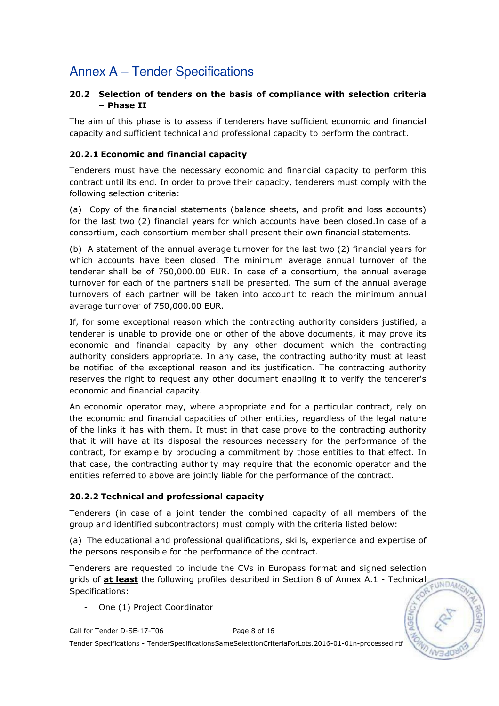### 20.2 Selection of tenders on the basis of compliance with selection criteria – Phase II

The aim of this phase is to assess if tenderers have sufficient economic and financial capacity and sufficient technical and professional capacity to perform the contract.

### 20.2.1 Economic and financial capacity

Tenderers must have the necessary economic and financial capacity to perform this contract until its end. In order to prove their capacity, tenderers must comply with the following selection criteria:

(a) Copy of the financial statements (balance sheets, and profit and loss accounts) for the last two (2) financial years for which accounts have been closed.In case of a consortium, each consortium member shall present their own financial statements.

(b) A statement of the annual average turnover for the last two (2) financial years for which accounts have been closed. The minimum average annual turnover of the tenderer shall be of 750,000.00 EUR. In case of a consortium, the annual average turnover for each of the partners shall be presented. The sum of the annual average turnovers of each partner will be taken into account to reach the minimum annual average turnover of 750,000.00 EUR.

If, for some exceptional reason which the contracting authority considers justified, a tenderer is unable to provide one or other of the above documents, it may prove its economic and financial capacity by any other document which the contracting authority considers appropriate. In any case, the contracting authority must at least be notified of the exceptional reason and its justification. The contracting authority reserves the right to request any other document enabling it to verify the tenderer's economic and financial capacity.

An economic operator may, where appropriate and for a particular contract, rely on the economic and financial capacities of other entities, regardless of the legal nature of the links it has with them. It must in that case prove to the contracting authority that it will have at its disposal the resources necessary for the performance of the contract, for example by producing a commitment by those entities to that effect. In that case, the contracting authority may require that the economic operator and the entities referred to above are jointly liable for the performance of the contract.

### 20.2.2 Technical and professional capacity

Tenderers (in case of a joint tender the combined capacity of all members of the group and identified subcontractors) must comply with the criteria listed below:

(a) The educational and professional qualifications, skills, experience and expertise of the persons responsible for the performance of the contract.

Tenderers are requested to include the CVs in Europass format and signed selection grids of  $at$  least the following profiles described in Section 8 of Annex A.1 - Technical EUNDAN Specifications:

One (1) Project Coordinator

Call for Tender D-SE-17-T06 Page 8 of 16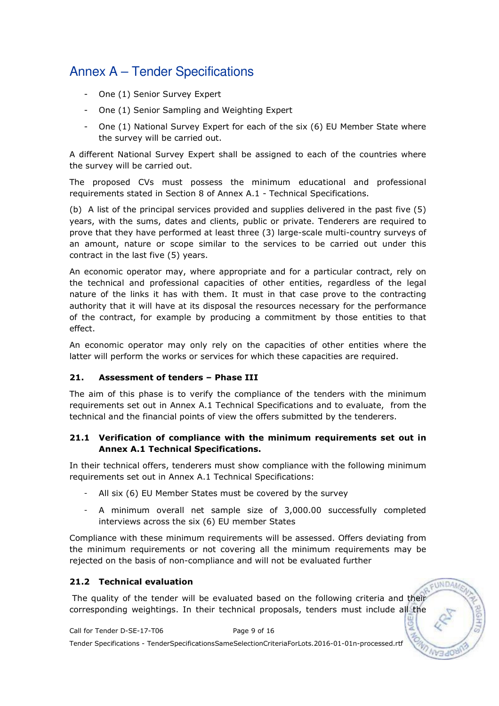- One (1) Senior Survey Expert
- One (1) Senior Sampling and Weighting Expert
- One (1) National Survey Expert for each of the six (6) EU Member State where the survey will be carried out.

A different National Survey Expert shall be assigned to each of the countries where the survey will be carried out.

The proposed CVs must possess the minimum educational and professional requirements stated in Section 8 of Annex A.1 - Technical Specifications.

(b) A list of the principal services provided and supplies delivered in the past five (5) years, with the sums, dates and clients, public or private. Tenderers are required to prove that they have performed at least three (3) large-scale multi-country surveys of an amount, nature or scope similar to the services to be carried out under this contract in the last five (5) years.

An economic operator may, where appropriate and for a particular contract, rely on the technical and professional capacities of other entities, regardless of the legal nature of the links it has with them. It must in that case prove to the contracting authority that it will have at its disposal the resources necessary for the performance of the contract, for example by producing a commitment by those entities to that effect.

An economic operator may only rely on the capacities of other entities where the latter will perform the works or services for which these capacities are required.

### 21. Assessment of tenders – Phase III

The aim of this phase is to verify the compliance of the tenders with the minimum requirements set out in Annex A.1 Technical Specifications and to evaluate, from the technical and the financial points of view the offers submitted by the tenderers.

### 21.1 Verification of compliance with the minimum requirements set out in Annex A.1 Technical Specifications.

In their technical offers, tenderers must show compliance with the following minimum requirements set out in Annex A.1 Technical Specifications:

- All six (6) EU Member States must be covered by the survey
- A minimum overall net sample size of 3,000.00 successfully completed interviews across the six (6) EU member States

Compliance with these minimum requirements will be assessed. Offers deviating from the minimum requirements or not covering all the minimum requirements may be rejected on the basis of non-compliance and will not be evaluated further

### 21.2 Technical evaluation

 The quality of the tender will be evaluated based on the following criteria and their corresponding weightings. In their technical proposals, tenders must include all the

EUNDA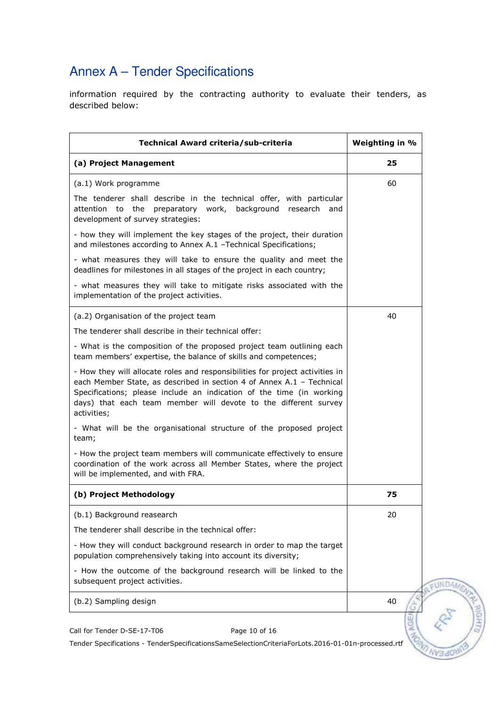information required by the contracting authority to evaluate their tenders, as described below:

| Technical Award criteria/sub-criteria                                                                                                                                                                                                                                                                            | Weighting in % |
|------------------------------------------------------------------------------------------------------------------------------------------------------------------------------------------------------------------------------------------------------------------------------------------------------------------|----------------|
| (a) Project Management                                                                                                                                                                                                                                                                                           | 25             |
| (a.1) Work programme                                                                                                                                                                                                                                                                                             | 60             |
| The tenderer shall describe in the technical offer, with particular<br>the<br>preparatory work, background research and<br>attention to<br>development of survey strategies:                                                                                                                                     |                |
| - how they will implement the key stages of the project, their duration<br>and milestones according to Annex A.1 - Technical Specifications;                                                                                                                                                                     |                |
| - what measures they will take to ensure the quality and meet the<br>deadlines for milestones in all stages of the project in each country;                                                                                                                                                                      |                |
| - what measures they will take to mitigate risks associated with the<br>implementation of the project activities.                                                                                                                                                                                                |                |
| (a.2) Organisation of the project team                                                                                                                                                                                                                                                                           | 40             |
| The tenderer shall describe in their technical offer:                                                                                                                                                                                                                                                            |                |
| - What is the composition of the proposed project team outlining each<br>team members' expertise, the balance of skills and competences;                                                                                                                                                                         |                |
| - How they will allocate roles and responsibilities for project activities in<br>each Member State, as described in section 4 of Annex A.1 - Technical<br>Specifications; please include an indication of the time (in working<br>days) that each team member will devote to the different survey<br>activities; |                |
| - What will be the organisational structure of the proposed project<br>team;                                                                                                                                                                                                                                     |                |
| - How the project team members will communicate effectively to ensure<br>coordination of the work across all Member States, where the project<br>will be implemented, and with FRA.                                                                                                                              |                |
| (b) Project Methodology                                                                                                                                                                                                                                                                                          | 75             |
| (b.1) Background reasearch                                                                                                                                                                                                                                                                                       | 20             |
| The tenderer shall describe in the technical offer:                                                                                                                                                                                                                                                              |                |
| - How they will conduct background research in order to map the target<br>population comprehensively taking into account its diversity;                                                                                                                                                                          |                |
| - How the outcome of the background research will be linked to the<br>subsequent project activities.                                                                                                                                                                                                             |                |
| (b.2) Sampling design                                                                                                                                                                                                                                                                                            | 40             |
| Call for Tender D-SE-17-T06<br>Page 10 of 16                                                                                                                                                                                                                                                                     |                |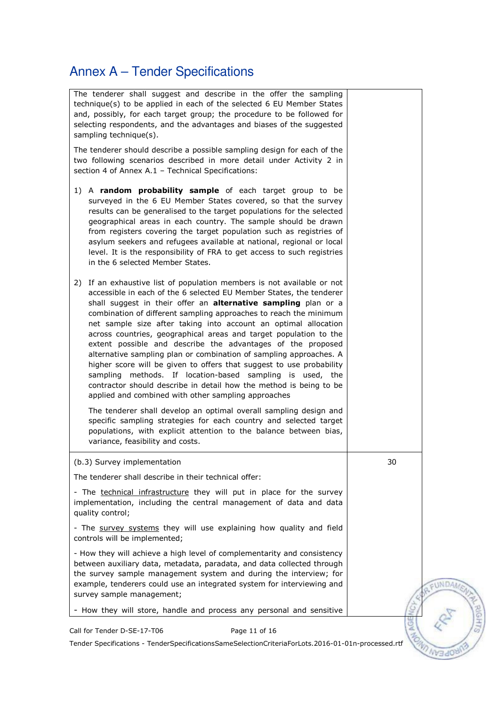| The tenderer shall suggest and describe in the offer the sampling<br>technique(s) to be applied in each of the selected 6 EU Member States<br>and, possibly, for each target group; the procedure to be followed for<br>selecting respondents, and the advantages and biases of the suggested<br>sampling technique(s).                                                                                                                                                                                                                                                                                                                                                                                                                                                                                                                |    |        |
|----------------------------------------------------------------------------------------------------------------------------------------------------------------------------------------------------------------------------------------------------------------------------------------------------------------------------------------------------------------------------------------------------------------------------------------------------------------------------------------------------------------------------------------------------------------------------------------------------------------------------------------------------------------------------------------------------------------------------------------------------------------------------------------------------------------------------------------|----|--------|
| The tenderer should describe a possible sampling design for each of the<br>two following scenarios described in more detail under Activity 2 in<br>section 4 of Annex A.1 - Technical Specifications:                                                                                                                                                                                                                                                                                                                                                                                                                                                                                                                                                                                                                                  |    |        |
| 1) A random probability sample of each target group to be<br>surveyed in the 6 EU Member States covered, so that the survey<br>results can be generalised to the target populations for the selected<br>geographical areas in each country. The sample should be drawn<br>from registers covering the target population such as registries of<br>asylum seekers and refugees available at national, regional or local<br>level. It is the responsibility of FRA to get access to such registries<br>in the 6 selected Member States.                                                                                                                                                                                                                                                                                                   |    |        |
| If an exhaustive list of population members is not available or not<br>2)<br>accessible in each of the 6 selected EU Member States, the tenderer<br>shall suggest in their offer an alternative sampling plan or a<br>combination of different sampling approaches to reach the minimum<br>net sample size after taking into account an optimal allocation<br>across countries, geographical areas and target population to the<br>extent possible and describe the advantages of the proposed<br>alternative sampling plan or combination of sampling approaches. A<br>higher score will be given to offers that suggest to use probability<br>sampling methods. If location-based sampling is used, the<br>contractor should describe in detail how the method is being to be<br>applied and combined with other sampling approaches |    |        |
| The tenderer shall develop an optimal overall sampling design and<br>specific sampling strategies for each country and selected target<br>populations, with explicit attention to the balance between bias,<br>variance, feasibility and costs.                                                                                                                                                                                                                                                                                                                                                                                                                                                                                                                                                                                        |    |        |
| (b.3) Survey implementation                                                                                                                                                                                                                                                                                                                                                                                                                                                                                                                                                                                                                                                                                                                                                                                                            | 30 |        |
| The tenderer shall describe in their technical offer:                                                                                                                                                                                                                                                                                                                                                                                                                                                                                                                                                                                                                                                                                                                                                                                  |    |        |
| - The technical infrastructure they will put in place for the survey<br>implementation, including the central management of data and data<br>quality control;                                                                                                                                                                                                                                                                                                                                                                                                                                                                                                                                                                                                                                                                          |    |        |
| - The survey systems they will use explaining how quality and field<br>controls will be implemented;                                                                                                                                                                                                                                                                                                                                                                                                                                                                                                                                                                                                                                                                                                                                   |    |        |
| - How they will achieve a high level of complementarity and consistency<br>between auxiliary data, metadata, paradata, and data collected through<br>the survey sample management system and during the interview; for<br>example, tenderers could use an integrated system for interviewing and<br>survey sample management;                                                                                                                                                                                                                                                                                                                                                                                                                                                                                                          |    | EUNDAN |
| - How they will store, handle and process any personal and sensitive                                                                                                                                                                                                                                                                                                                                                                                                                                                                                                                                                                                                                                                                                                                                                                   |    |        |
| Page 11 of 16<br>Call for Tender D-SE-17-T06                                                                                                                                                                                                                                                                                                                                                                                                                                                                                                                                                                                                                                                                                                                                                                                           | z  |        |
| Tender Specifications - TenderSpecificationsSameSelectionCriteriaForLots.2016-01-01n-processed.rtf                                                                                                                                                                                                                                                                                                                                                                                                                                                                                                                                                                                                                                                                                                                                     |    |        |
|                                                                                                                                                                                                                                                                                                                                                                                                                                                                                                                                                                                                                                                                                                                                                                                                                                        |    |        |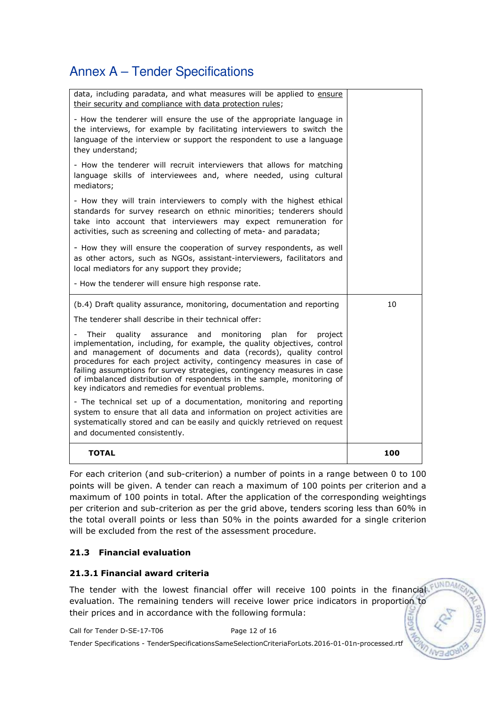| data, including paradata, and what measures will be applied to ensure<br>their security and compliance with data protection rules;                                                                                                                                                                                                                                                                                                                                                                       |    |
|----------------------------------------------------------------------------------------------------------------------------------------------------------------------------------------------------------------------------------------------------------------------------------------------------------------------------------------------------------------------------------------------------------------------------------------------------------------------------------------------------------|----|
| - How the tenderer will ensure the use of the appropriate language in<br>the interviews, for example by facilitating interviewers to switch the<br>language of the interview or support the respondent to use a language<br>they understand;                                                                                                                                                                                                                                                             |    |
| - How the tenderer will recruit interviewers that allows for matching<br>language skills of interviewees and, where needed, using cultural<br>mediators;                                                                                                                                                                                                                                                                                                                                                 |    |
| - How they will train interviewers to comply with the highest ethical<br>standards for survey research on ethnic minorities; tenderers should<br>take into account that interviewers may expect remuneration for<br>activities, such as screening and collecting of meta- and paradata;                                                                                                                                                                                                                  |    |
| - How they will ensure the cooperation of survey respondents, as well<br>as other actors, such as NGOs, assistant-interviewers, facilitators and<br>local mediators for any support they provide;                                                                                                                                                                                                                                                                                                        |    |
| - How the tenderer will ensure high response rate.                                                                                                                                                                                                                                                                                                                                                                                                                                                       |    |
| (b.4) Draft quality assurance, monitoring, documentation and reporting                                                                                                                                                                                                                                                                                                                                                                                                                                   | 10 |
| The tenderer shall describe in their technical offer:                                                                                                                                                                                                                                                                                                                                                                                                                                                    |    |
|                                                                                                                                                                                                                                                                                                                                                                                                                                                                                                          |    |
| quality assurance and<br>monitorina<br>Their<br>plan<br>for<br>project<br>implementation, including, for example, the quality objectives, control<br>and management of documents and data (records), quality control<br>procedures for each project activity, contingency measures in case of<br>failing assumptions for survey strategies, contingency measures in case<br>of imbalanced distribution of respondents in the sample, monitoring of<br>key indicators and remedies for eventual problems. |    |
| - The technical set up of a documentation, monitoring and reporting<br>system to ensure that all data and information on project activities are<br>systematically stored and can be easily and quickly retrieved on request<br>and documented consistently.                                                                                                                                                                                                                                              |    |

For each criterion (and sub-criterion) a number of points in a range between 0 to 100 points will be given. A tender can reach a maximum of 100 points per criterion and a maximum of 100 points in total. After the application of the corresponding weightings per criterion and sub-criterion as per the grid above, tenders scoring less than 60% in the total overall points or less than 50% in the points awarded for a single criterion will be excluded from the rest of the assessment procedure.

## 21.3 Financial evaluation

### 21.3.1 Financial award criteria

The tender with the lowest financial offer will receive 100 points in the financial evaluation. The remaining tenders will receive lower price indicators in proportion to their prices and in accordance with the following formula:

Call for Tender D-SE-17-T06 Page 12 of 16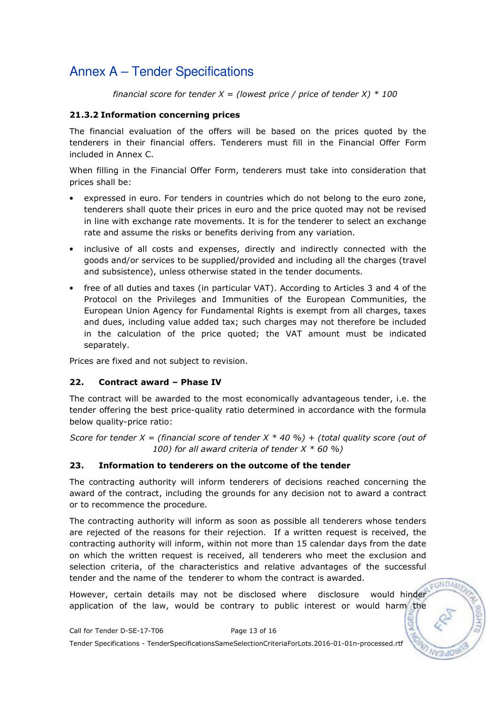financial score for tender  $X =$  (lowest price / price of tender X)  $*$  100

### 21.3.2 Information concerning prices

The financial evaluation of the offers will be based on the prices quoted by the tenderers in their financial offers. Tenderers must fill in the Financial Offer Form included in Annex C.

When filling in the Financial Offer Form, tenderers must take into consideration that prices shall be:

- expressed in euro. For tenders in countries which do not belong to the euro zone, tenderers shall quote their prices in euro and the price quoted may not be revised in line with exchange rate movements. It is for the tenderer to select an exchange rate and assume the risks or benefits deriving from any variation.
- inclusive of all costs and expenses, directly and indirectly connected with the goods and/or services to be supplied/provided and including all the charges (travel and subsistence), unless otherwise stated in the tender documents.
- free of all duties and taxes (in particular VAT). According to Articles 3 and 4 of the Protocol on the Privileges and Immunities of the European Communities, the European Union Agency for Fundamental Rights is exempt from all charges, taxes and dues, including value added tax; such charges may not therefore be included in the calculation of the price quoted; the VAT amount must be indicated separately.

Prices are fixed and not subject to revision.

### 22. Contract award – Phase IV

The contract will be awarded to the most economically advantageous tender, i.e. the tender offering the best price-quality ratio determined in accordance with the formula below quality-price ratio:

Score for tender X = (financial score of tender X  $*$  40 %) + (total quality score (out of 100) for all award criteria of tender  $X * 60 %$ 

### 23. Information to tenderers on the outcome of the tender

The contracting authority will inform tenderers of decisions reached concerning the award of the contract, including the grounds for any decision not to award a contract or to recommence the procedure.

The contracting authority will inform as soon as possible all tenderers whose tenders are rejected of the reasons for their rejection. If a written request is received, the contracting authority will inform, within not more than 15 calendar days from the date on which the written request is received, all tenderers who meet the exclusion and selection criteria, of the characteristics and relative advantages of the successful tender and the name of the tenderer to whom the contract is awarded.

However, certain details may not be disclosed where disclosure would hinder application of the law, would be contrary to public interest or would harm the

EUNDA/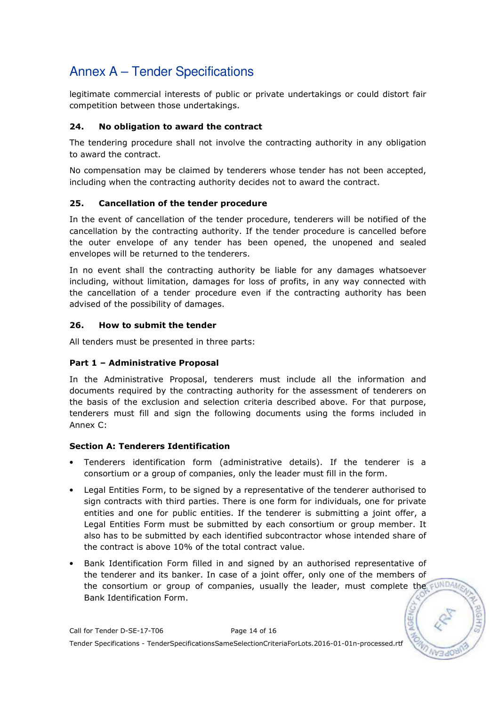legitimate commercial interests of public or private undertakings or could distort fair competition between those undertakings.

### 24. No obligation to award the contract

The tendering procedure shall not involve the contracting authority in any obligation to award the contract.

No compensation may be claimed by tenderers whose tender has not been accepted, including when the contracting authority decides not to award the contract.

### 25. Cancellation of the tender procedure

In the event of cancellation of the tender procedure, tenderers will be notified of the cancellation by the contracting authority. If the tender procedure is cancelled before the outer envelope of any tender has been opened, the unopened and sealed envelopes will be returned to the tenderers.

In no event shall the contracting authority be liable for any damages whatsoever including, without limitation, damages for loss of profits, in any way connected with the cancellation of a tender procedure even if the contracting authority has been advised of the possibility of damages.

### 26. How to submit the tender

All tenders must be presented in three parts:

### Part 1 – Administrative Proposal

In the Administrative Proposal, tenderers must include all the information and documents required by the contracting authority for the assessment of tenderers on the basis of the exclusion and selection criteria described above. For that purpose, tenderers must fill and sign the following documents using the forms included in Annex C:

### Section A: Tenderers Identification

- Tenderers identification form (administrative details). If the tenderer is a consortium or a group of companies, only the leader must fill in the form.
- Legal Entities Form, to be signed by a representative of the tenderer authorised to sign contracts with third parties. There is one form for individuals, one for private entities and one for public entities. If the tenderer is submitting a joint offer, a Legal Entities Form must be submitted by each consortium or group member. It also has to be submitted by each identified subcontractor whose intended share of the contract is above 10% of the total contract value.
- Bank Identification Form filled in and signed by an authorised representative of the tenderer and its banker. In case of a joint offer, only one of the members of the consortium or group of companies, usually the leader, must complete the FUNDA Bank Identification Form.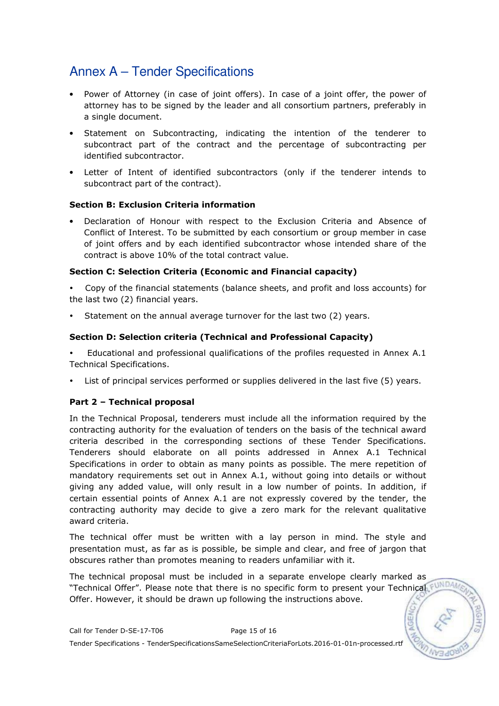- Power of Attorney (in case of joint offers). In case of a joint offer, the power of attorney has to be signed by the leader and all consortium partners, preferably in a single document.
- Statement on Subcontracting, indicating the intention of the tenderer to subcontract part of the contract and the percentage of subcontracting per identified subcontractor.
- Letter of Intent of identified subcontractors (only if the tenderer intends to subcontract part of the contract).

### Section B: Exclusion Criteria information

• Declaration of Honour with respect to the Exclusion Criteria and Absence of Conflict of Interest. To be submitted by each consortium or group member in case of joint offers and by each identified subcontractor whose intended share of the contract is above 10% of the total contract value.

### Section C: Selection Criteria (Economic and Financial capacity)

 Copy of the financial statements (balance sheets, and profit and loss accounts) for the last two (2) financial years.

Statement on the annual average turnover for the last two (2) years.

### Section D: Selection criteria (Technical and Professional Capacity)

 Educational and professional qualifications of the profiles requested in Annex A.1 Technical Specifications.

List of principal services performed or supplies delivered in the last five (5) years.

### Part 2 – Technical proposal

In the Technical Proposal, tenderers must include all the information required by the contracting authority for the evaluation of tenders on the basis of the technical award criteria described in the corresponding sections of these Tender Specifications. Tenderers should elaborate on all points addressed in Annex A.1 Technical Specifications in order to obtain as many points as possible. The mere repetition of mandatory requirements set out in Annex A.1, without going into details or without giving any added value, will only result in a low number of points. In addition, if certain essential points of Annex A.1 are not expressly covered by the tender, the contracting authority may decide to give a zero mark for the relevant qualitative award criteria.

The technical offer must be written with a lay person in mind. The style and presentation must, as far as is possible, be simple and clear, and free of jargon that obscures rather than promotes meaning to readers unfamiliar with it.

The technical proposal must be included in a separate envelope clearly marked as "Technical Offer". Please note that there is no specific form to present your Technical FUND Offer. However, it should be drawn up following the instructions above.